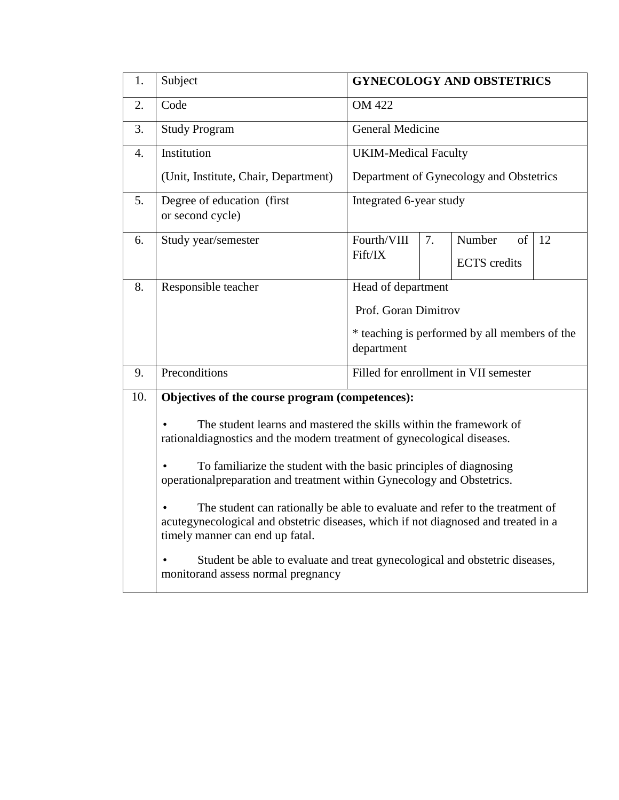| 1.               | Subject<br><b>GYNECOLOGY AND OBSTETRICS</b>                                                                                                                                                           |                                                             |                                         |                                       |    |  |  |  |  |
|------------------|-------------------------------------------------------------------------------------------------------------------------------------------------------------------------------------------------------|-------------------------------------------------------------|-----------------------------------------|---------------------------------------|----|--|--|--|--|
| 2.               | Code                                                                                                                                                                                                  | <b>OM 422</b>                                               |                                         |                                       |    |  |  |  |  |
| 3.               | <b>Study Program</b>                                                                                                                                                                                  | <b>General Medicine</b>                                     |                                         |                                       |    |  |  |  |  |
| $\overline{4}$ . | Institution                                                                                                                                                                                           | <b>UKIM-Medical Faculty</b>                                 |                                         |                                       |    |  |  |  |  |
|                  | (Unit, Institute, Chair, Department)                                                                                                                                                                  |                                                             | Department of Gynecology and Obstetrics |                                       |    |  |  |  |  |
| 5.               | Degree of education (first)<br>or second cycle)                                                                                                                                                       | Integrated 6-year study                                     |                                         |                                       |    |  |  |  |  |
| 6.               | Study year/semester                                                                                                                                                                                   | Fourth/VIII                                                 | 7.                                      | Number<br>of                          | 12 |  |  |  |  |
|                  |                                                                                                                                                                                                       | Fift/IX                                                     |                                         | <b>ECTS</b> credits                   |    |  |  |  |  |
| 8.               | Responsible teacher                                                                                                                                                                                   | Head of department                                          |                                         |                                       |    |  |  |  |  |
|                  |                                                                                                                                                                                                       | Prof. Goran Dimitrov                                        |                                         |                                       |    |  |  |  |  |
|                  |                                                                                                                                                                                                       | * teaching is performed by all members of the<br>department |                                         |                                       |    |  |  |  |  |
| 9.               | Preconditions                                                                                                                                                                                         |                                                             |                                         | Filled for enrollment in VII semester |    |  |  |  |  |
| 10.              | Objectives of the course program (competences):                                                                                                                                                       |                                                             |                                         |                                       |    |  |  |  |  |
|                  | The student learns and mastered the skills within the framework of<br>rationaldiagnostics and the modern treatment of gynecological diseases.                                                         |                                                             |                                         |                                       |    |  |  |  |  |
|                  | To familiarize the student with the basic principles of diagnosing<br>operational preparation and treatment within Gynecology and Obstetrics.                                                         |                                                             |                                         |                                       |    |  |  |  |  |
|                  | The student can rationally be able to evaluate and refer to the treatment of<br>acutegynecological and obstetric diseases, which if not diagnosed and treated in a<br>timely manner can end up fatal. |                                                             |                                         |                                       |    |  |  |  |  |
|                  | Student be able to evaluate and treat gynecological and obstetric diseases,<br>monitorand assess normal pregnancy                                                                                     |                                                             |                                         |                                       |    |  |  |  |  |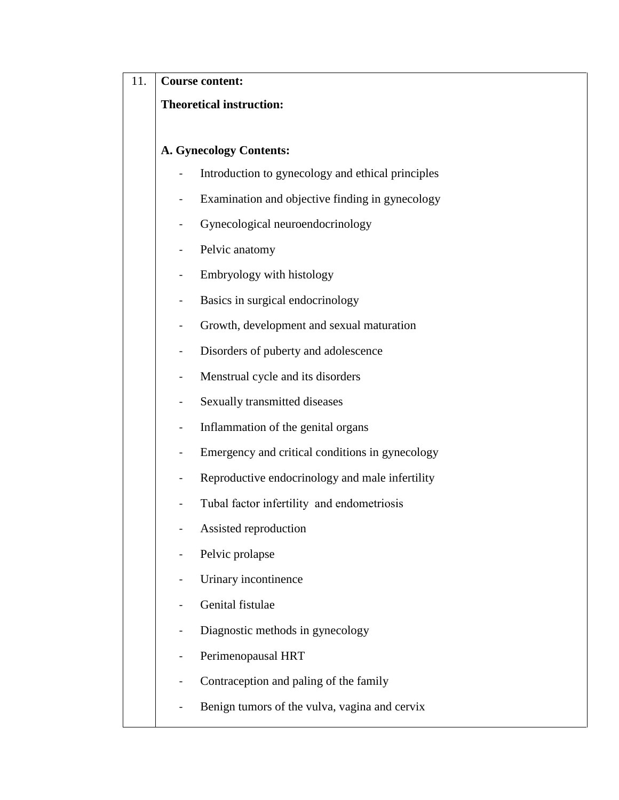| 11. | <b>Course content:</b>               |                                                   |  |  |  |  |  |  |  |  |
|-----|--------------------------------------|---------------------------------------------------|--|--|--|--|--|--|--|--|
|     |                                      | <b>Theoretical instruction:</b>                   |  |  |  |  |  |  |  |  |
|     |                                      |                                                   |  |  |  |  |  |  |  |  |
|     |                                      | <b>A. Gynecology Contents:</b>                    |  |  |  |  |  |  |  |  |
|     |                                      | Introduction to gynecology and ethical principles |  |  |  |  |  |  |  |  |
|     |                                      | Examination and objective finding in gynecology   |  |  |  |  |  |  |  |  |
|     |                                      | Gynecological neuroendocrinology                  |  |  |  |  |  |  |  |  |
|     |                                      | Pelvic anatomy                                    |  |  |  |  |  |  |  |  |
|     |                                      | Embryology with histology                         |  |  |  |  |  |  |  |  |
|     |                                      | Basics in surgical endocrinology                  |  |  |  |  |  |  |  |  |
|     |                                      | Growth, development and sexual maturation         |  |  |  |  |  |  |  |  |
|     | Disorders of puberty and adolescence |                                                   |  |  |  |  |  |  |  |  |
|     |                                      | Menstrual cycle and its disorders                 |  |  |  |  |  |  |  |  |
|     |                                      | Sexually transmitted diseases                     |  |  |  |  |  |  |  |  |
|     |                                      | Inflammation of the genital organs                |  |  |  |  |  |  |  |  |
|     |                                      | Emergency and critical conditions in gynecology   |  |  |  |  |  |  |  |  |
|     |                                      | Reproductive endocrinology and male infertility   |  |  |  |  |  |  |  |  |
|     |                                      | Tubal factor infertility and endometriosis        |  |  |  |  |  |  |  |  |
|     |                                      | Assisted reproduction                             |  |  |  |  |  |  |  |  |
|     |                                      | Pelvic prolapse                                   |  |  |  |  |  |  |  |  |
|     |                                      | Urinary incontinence                              |  |  |  |  |  |  |  |  |
|     |                                      | Genital fistulae                                  |  |  |  |  |  |  |  |  |
|     |                                      | Diagnostic methods in gynecology                  |  |  |  |  |  |  |  |  |
|     |                                      | Perimenopausal HRT                                |  |  |  |  |  |  |  |  |
|     |                                      | Contraception and paling of the family            |  |  |  |  |  |  |  |  |
|     |                                      | Benign tumors of the vulva, vagina and cervix     |  |  |  |  |  |  |  |  |
|     |                                      |                                                   |  |  |  |  |  |  |  |  |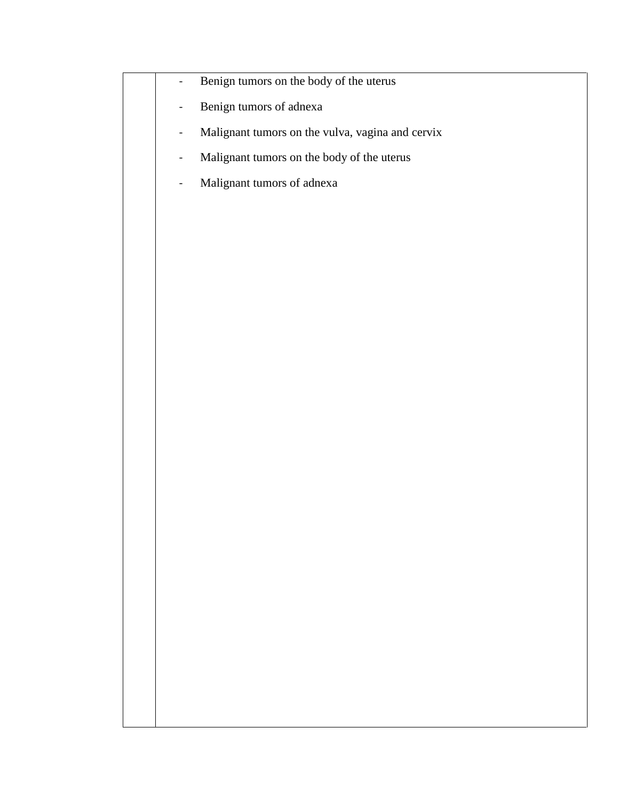- Benign tumors on the body of the uterus
- Benign tumors of adnexa
- Malignant tumors on the vulva, vagina and cervix
- Malignant tumors on the body of the uterus
- Malignant tumors of adnexa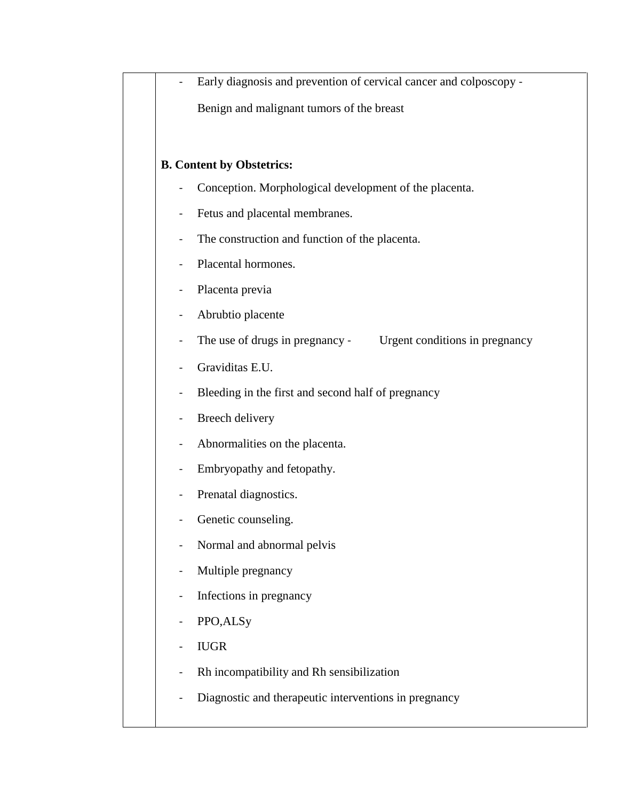|                              | Early diagnosis and prevention of cervical cancer and colposcopy - |
|------------------------------|--------------------------------------------------------------------|
|                              | Benign and malignant tumors of the breast                          |
|                              |                                                                    |
|                              | <b>B. Content by Obstetrics:</b>                                   |
|                              | Conception. Morphological development of the placenta.             |
|                              | Fetus and placental membranes.                                     |
|                              | The construction and function of the placenta.                     |
|                              | Placental hormones.                                                |
| $\blacksquare$               | Placenta previa                                                    |
| $\overline{\phantom{a}}$     | Abrubtio placente                                                  |
| $\qquad \qquad \blacksquare$ | The use of drugs in pregnancy -<br>Urgent conditions in pregnancy  |
|                              | Graviditas E.U.                                                    |
|                              | Bleeding in the first and second half of pregnancy                 |
|                              | Breech delivery                                                    |
|                              | Abnormalities on the placenta.                                     |
|                              | Embryopathy and fetopathy.                                         |
|                              | Prenatal diagnostics.                                              |
|                              | Genetic counseling.                                                |
|                              | Normal and abnormal pelvis                                         |
|                              | Multiple pregnancy                                                 |
|                              | Infections in pregnancy                                            |
|                              | PPO, ALSy                                                          |
|                              | <b>IUGR</b>                                                        |
|                              | Rh incompatibility and Rh sensibilization                          |
|                              | Diagnostic and therapeutic interventions in pregnancy              |
|                              |                                                                    |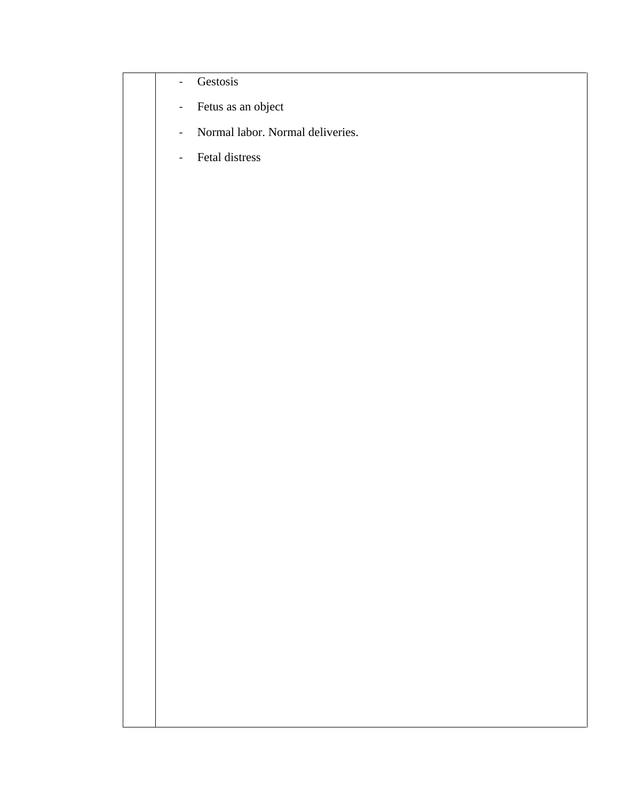## - Gestosis

- Fetus as an object
- Normal labor. Normal deliveries.
- Fetal distress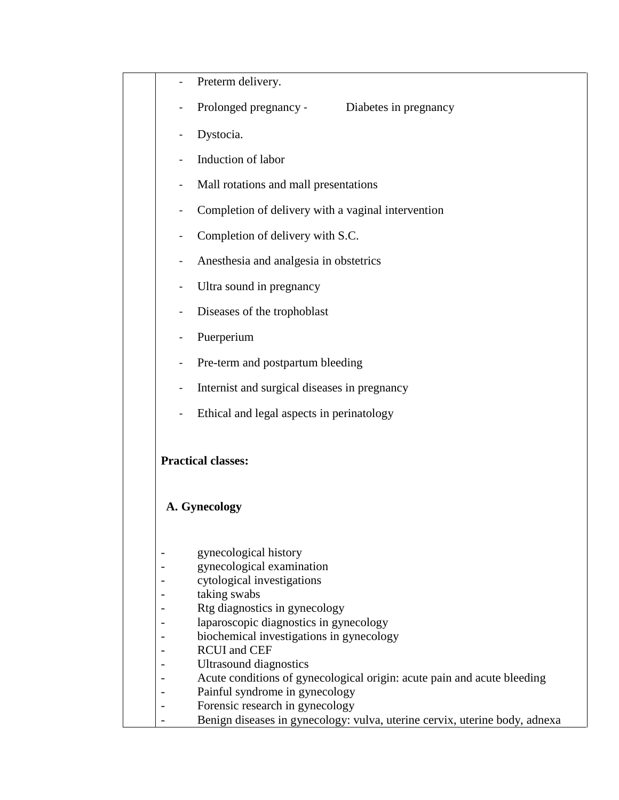|                                                                                                       | Preterm delivery.                                                                                         |
|-------------------------------------------------------------------------------------------------------|-----------------------------------------------------------------------------------------------------------|
|                                                                                                       | Prolonged pregnancy -<br>Diabetes in pregnancy                                                            |
|                                                                                                       | Dystocia.                                                                                                 |
|                                                                                                       | Induction of labor                                                                                        |
|                                                                                                       |                                                                                                           |
|                                                                                                       | Mall rotations and mall presentations                                                                     |
|                                                                                                       | Completion of delivery with a vaginal intervention                                                        |
| $\blacksquare$                                                                                        | Completion of delivery with S.C.                                                                          |
| $\blacksquare$                                                                                        | Anesthesia and analgesia in obstetrics                                                                    |
|                                                                                                       | Ultra sound in pregnancy                                                                                  |
|                                                                                                       | Diseases of the trophoblast                                                                               |
|                                                                                                       | Puerperium                                                                                                |
| $\hskip1.6pt\hskip1.6pt\hskip1.6pt\hskip1.6pt\hskip1.6pt\hskip1.6pt\hskip1.6pt\hskip1.6pt\hskip1.6pt$ | Pre-term and postpartum bleeding                                                                          |
|                                                                                                       |                                                                                                           |
| $\blacksquare$                                                                                        | Internist and surgical diseases in pregnancy                                                              |
|                                                                                                       | Ethical and legal aspects in perinatology                                                                 |
|                                                                                                       |                                                                                                           |
|                                                                                                       |                                                                                                           |
|                                                                                                       | <b>Practical classes:</b>                                                                                 |
|                                                                                                       |                                                                                                           |
|                                                                                                       | A. Gynecology                                                                                             |
|                                                                                                       |                                                                                                           |
|                                                                                                       | gynecological history<br>gynecological examination                                                        |
|                                                                                                       | cytological investigations                                                                                |
|                                                                                                       | taking swabs                                                                                              |
|                                                                                                       | Rtg diagnostics in gynecology                                                                             |
|                                                                                                       | laparoscopic diagnostics in gynecology                                                                    |
|                                                                                                       | biochemical investigations in gynecology                                                                  |
|                                                                                                       | <b>RCUI</b> and CEF                                                                                       |
|                                                                                                       | Ultrasound diagnostics                                                                                    |
|                                                                                                       | Acute conditions of gynecological origin: acute pain and acute bleeding<br>Painful syndrome in gynecology |
|                                                                                                       | Forensic research in gynecology                                                                           |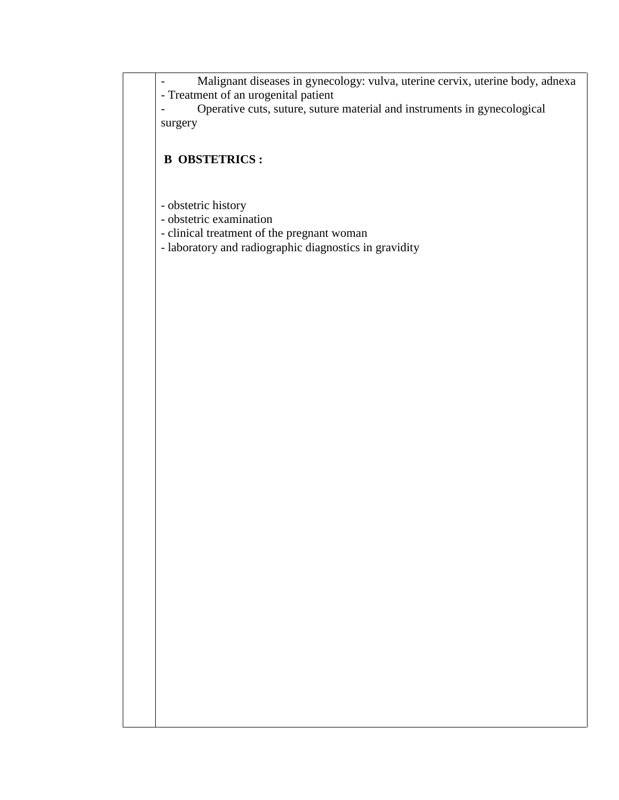- Malignant diseases in gynecology: vulva, uterine cervix, uterine body, adnexa - Treatment of an urogenital patient

- Operative cuts, suture, suture material and instruments in gynecological surgery

## **B OBSTETRICS :**

- obstetric history
- obstetric examination
- clinical treatment of the pregnant woman
- laboratory and radiographic diagnostics in gravidity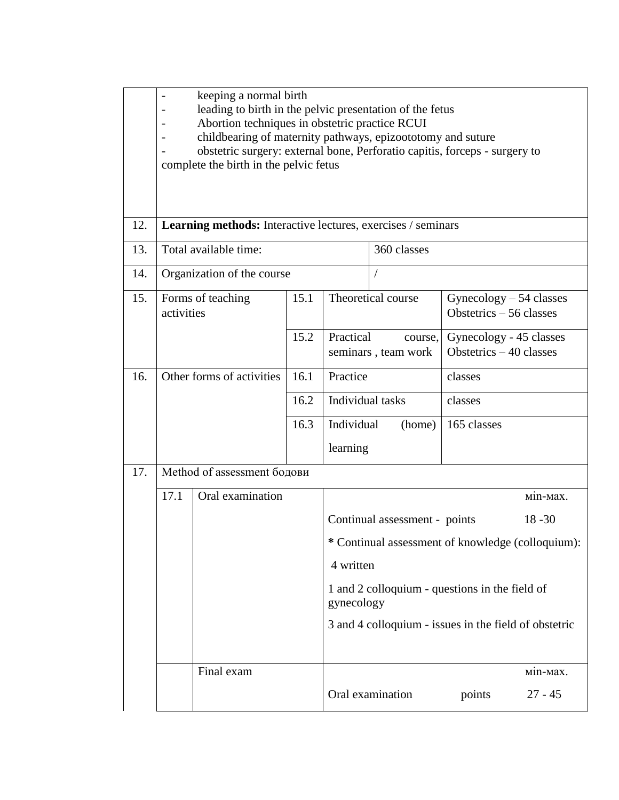|     | keeping a normal birth<br>leading to birth in the pelvic presentation of the fetus<br>Abortion techniques in obstetric practice RCUI<br>childbearing of maternity pathways, epizoototomy and suture<br>obstetric surgery: external bone, Perforatio capitis, forceps - surgery to<br>complete the birth in the pelvic fetus |                             |      |                                                   |                                                |                                                      |           |  |  |
|-----|-----------------------------------------------------------------------------------------------------------------------------------------------------------------------------------------------------------------------------------------------------------------------------------------------------------------------------|-----------------------------|------|---------------------------------------------------|------------------------------------------------|------------------------------------------------------|-----------|--|--|
| 12. | <b>Learning methods:</b> Interactive lectures, exercises / seminars                                                                                                                                                                                                                                                         |                             |      |                                                   |                                                |                                                      |           |  |  |
| 13. |                                                                                                                                                                                                                                                                                                                             | Total available time:       |      |                                                   | 360 classes                                    |                                                      |           |  |  |
| 14. |                                                                                                                                                                                                                                                                                                                             | Organization of the course  |      |                                                   |                                                |                                                      |           |  |  |
| 15. | 15.1<br>Forms of teaching<br>activities                                                                                                                                                                                                                                                                                     |                             |      |                                                   | Theoretical course                             | $Gyneology - 54 classes$<br>Obstetrics $-56$ classes |           |  |  |
|     | 15.2                                                                                                                                                                                                                                                                                                                        |                             |      | Practical                                         | course,<br>seminars, team work                 | Gynecology - 45 classes<br>Obstetrics $-40$ classes  |           |  |  |
| 16. |                                                                                                                                                                                                                                                                                                                             | Other forms of activities   | 16.1 | Practice                                          |                                                | classes                                              |           |  |  |
|     |                                                                                                                                                                                                                                                                                                                             |                             | 16.2 | Individual tasks                                  |                                                | classes                                              |           |  |  |
|     |                                                                                                                                                                                                                                                                                                                             |                             | 16.3 | Individual<br>(home)                              |                                                | 165 classes                                          |           |  |  |
|     |                                                                                                                                                                                                                                                                                                                             |                             |      | learning                                          |                                                |                                                      |           |  |  |
| 17. |                                                                                                                                                                                                                                                                                                                             | Method of assessment бодови |      |                                                   |                                                |                                                      |           |  |  |
|     | 17.1                                                                                                                                                                                                                                                                                                                        | Oral examination            |      |                                                   |                                                |                                                      | Min-Max.  |  |  |
|     |                                                                                                                                                                                                                                                                                                                             |                             |      | Continual assessment - points<br>$18 - 30$        |                                                |                                                      |           |  |  |
|     |                                                                                                                                                                                                                                                                                                                             |                             |      | * Continual assessment of knowledge (colloquium): |                                                |                                                      |           |  |  |
|     |                                                                                                                                                                                                                                                                                                                             |                             |      | 4 written                                         |                                                |                                                      |           |  |  |
|     |                                                                                                                                                                                                                                                                                                                             |                             |      | gynecology                                        | 1 and 2 colloquium - questions in the field of |                                                      |           |  |  |
|     | 3 and 4 colloquium - issues in the field of obstetric                                                                                                                                                                                                                                                                       |                             |      |                                                   |                                                |                                                      |           |  |  |
|     |                                                                                                                                                                                                                                                                                                                             | Final exam                  |      |                                                   |                                                |                                                      | M1n-Max.  |  |  |
|     |                                                                                                                                                                                                                                                                                                                             |                             |      |                                                   | Oral examination                               | points                                               | $27 - 45$ |  |  |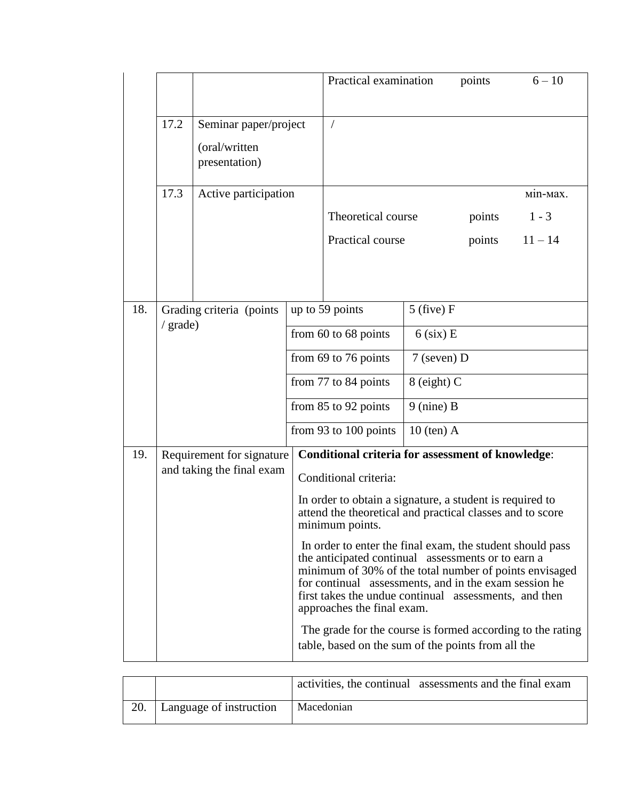|     |          |                                                         |                          | Practical examination                                                                                                                                                                                                                                                                                                     |               | points | $6 - 10$  |
|-----|----------|---------------------------------------------------------|--------------------------|---------------------------------------------------------------------------------------------------------------------------------------------------------------------------------------------------------------------------------------------------------------------------------------------------------------------------|---------------|--------|-----------|
|     | 17.2     | Seminar paper/project<br>(oral/written<br>presentation) |                          | $\bigg)$                                                                                                                                                                                                                                                                                                                  |               |        |           |
|     | 17.3     | Active participation                                    |                          |                                                                                                                                                                                                                                                                                                                           |               |        | міп-мах.  |
|     |          |                                                         |                          | Theoretical course                                                                                                                                                                                                                                                                                                        |               | points | $1 - 3$   |
|     |          |                                                         |                          | Practical course                                                                                                                                                                                                                                                                                                          |               | points | $11 - 14$ |
|     |          |                                                         |                          |                                                                                                                                                                                                                                                                                                                           |               |        |           |
| 18. |          | Grading criteria (points                                |                          | up to 59 points                                                                                                                                                                                                                                                                                                           | $5$ (five) F  |        |           |
|     | / grade) |                                                         | from $60$ to $68$ points |                                                                                                                                                                                                                                                                                                                           | $6$ (six) E   |        |           |
|     |          |                                                         | from 69 to 76 points     |                                                                                                                                                                                                                                                                                                                           | $7$ (seven) D |        |           |
|     |          |                                                         | from 77 to 84 points     |                                                                                                                                                                                                                                                                                                                           | $8$ (eight) C |        |           |
|     |          |                                                         | from $85$ to $92$ points |                                                                                                                                                                                                                                                                                                                           | $9$ (nine) B  |        |           |
|     |          |                                                         |                          | from 93 to 100 points                                                                                                                                                                                                                                                                                                     | $10$ (ten) A  |        |           |
| 19. |          | Requirement for signature                               |                          | <b>Conditional criteria for assessment of knowledge:</b>                                                                                                                                                                                                                                                                  |               |        |           |
|     |          | and taking the final exam                               |                          | Conditional criteria:                                                                                                                                                                                                                                                                                                     |               |        |           |
|     |          |                                                         |                          | In order to obtain a signature, a student is required to<br>attend the theoretical and practical classes and to score<br>minimum points.                                                                                                                                                                                  |               |        |           |
|     |          |                                                         |                          | In order to enter the final exam, the student should pass<br>the anticipated continual assessments or to earn a<br>minimum of 30% of the total number of points envisaged<br>for continual assessments, and in the exam session he<br>first takes the undue continual assessments, and then<br>approaches the final exam. |               |        |           |
|     |          |                                                         |                          | The grade for the course is formed according to the rating<br>table, based on the sum of the points from all the                                                                                                                                                                                                          |               |        |           |

|     |                         |            | activities, the continual assessments and the final exam |
|-----|-------------------------|------------|----------------------------------------------------------|
| 20. | Language of instruction | Macedonian |                                                          |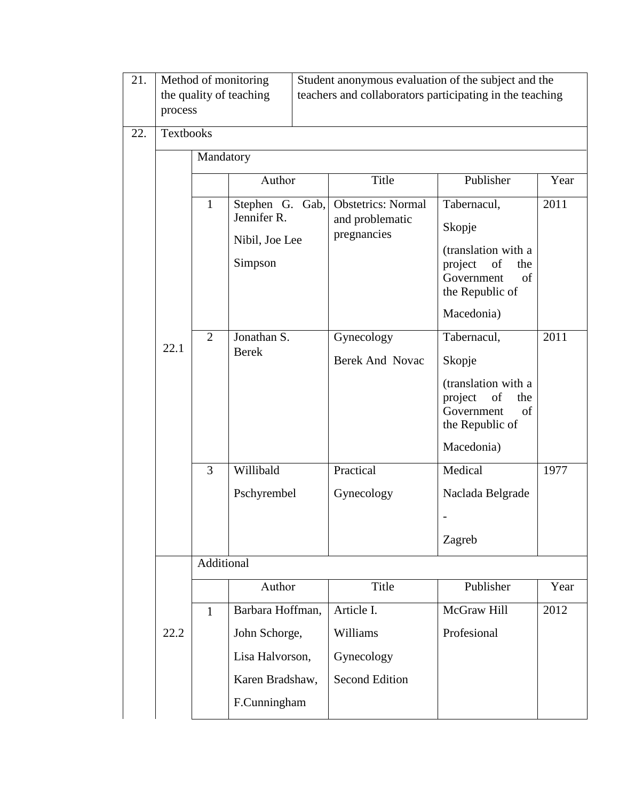| 21. | process          |                | Method of monitoring<br>the quality of teaching | Student anonymous evaluation of the subject and the<br>teachers and collaborators participating in the teaching |                                                             |                                                                                                  |      |  |
|-----|------------------|----------------|-------------------------------------------------|-----------------------------------------------------------------------------------------------------------------|-------------------------------------------------------------|--------------------------------------------------------------------------------------------------|------|--|
| 22. | <b>Textbooks</b> |                |                                                 |                                                                                                                 |                                                             |                                                                                                  |      |  |
|     |                  |                |                                                 |                                                                                                                 |                                                             |                                                                                                  |      |  |
|     |                  |                | Author                                          |                                                                                                                 | Title                                                       | Publisher                                                                                        | Year |  |
|     |                  | $\mathbf{1}$   | Stephen G.<br>Jennifer R.                       | Gab,                                                                                                            | <b>Obstetrics: Normal</b><br>and problematic<br>pregnancies | Tabernacul,<br>Skopje                                                                            | 2011 |  |
|     |                  |                | Nibil, Joe Lee<br>Simpson                       |                                                                                                                 |                                                             | (translation with a<br>of<br>project<br>the<br>Government<br>of<br>the Republic of<br>Macedonia) |      |  |
|     |                  | $\overline{2}$ | Jonathan S.                                     |                                                                                                                 | Gynecology                                                  | Tabernacul,                                                                                      | 2011 |  |
|     | 22.1             |                | <b>Berek</b>                                    |                                                                                                                 | Berek And Novac                                             | Skopje                                                                                           |      |  |
|     |                  |                |                                                 |                                                                                                                 |                                                             | (translation with a<br>project<br>of<br>the<br>Government<br>of<br>the Republic of               |      |  |
|     |                  |                |                                                 |                                                                                                                 |                                                             | Macedonia)                                                                                       |      |  |
|     |                  | $\overline{3}$ | Willibald                                       |                                                                                                                 | Practical                                                   | Medical                                                                                          | 1977 |  |
|     |                  |                | Pschyrembel                                     |                                                                                                                 | Gynecology                                                  | Naclada Belgrade                                                                                 |      |  |
|     |                  |                |                                                 |                                                                                                                 |                                                             |                                                                                                  |      |  |
|     |                  |                |                                                 |                                                                                                                 |                                                             | Zagreb                                                                                           |      |  |
|     |                  | Additional     |                                                 |                                                                                                                 |                                                             |                                                                                                  |      |  |
|     |                  |                | Author                                          |                                                                                                                 | Title                                                       | Publisher                                                                                        | Year |  |
|     |                  | $\mathbf{1}$   | Barbara Hoffman,                                |                                                                                                                 | Article I.                                                  | McGraw Hill                                                                                      | 2012 |  |
|     | 22.2             |                | John Schorge,                                   |                                                                                                                 | Williams                                                    | Profesional                                                                                      |      |  |
|     |                  |                | Lisa Halvorson,                                 |                                                                                                                 | Gynecology                                                  |                                                                                                  |      |  |
|     |                  |                | Karen Bradshaw,                                 |                                                                                                                 | <b>Second Edition</b>                                       |                                                                                                  |      |  |
|     |                  |                | F.Cunningham                                    |                                                                                                                 |                                                             |                                                                                                  |      |  |